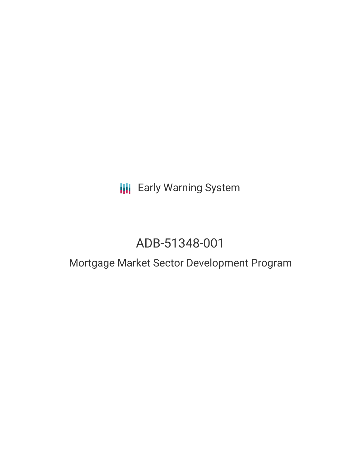# **III** Early Warning System

# ADB-51348-001

## Mortgage Market Sector Development Program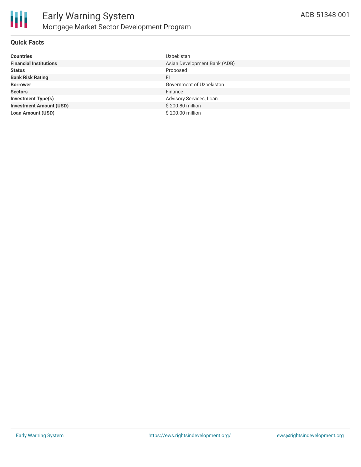

#### **Quick Facts**

| <b>Countries</b>               | <b>Uzbekistan</b>            |
|--------------------------------|------------------------------|
| <b>Financial Institutions</b>  | Asian Development Bank (ADB) |
| <b>Status</b>                  | Proposed                     |
| <b>Bank Risk Rating</b>        | FI                           |
| <b>Borrower</b>                | Government of Uzbekistan     |
| <b>Sectors</b>                 | Finance                      |
| <b>Investment Type(s)</b>      | Advisory Services, Loan      |
| <b>Investment Amount (USD)</b> | \$200.80 million             |
| <b>Loan Amount (USD)</b>       | \$200.00 million             |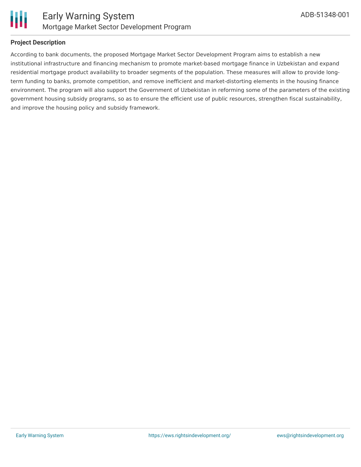

#### **Project Description**

According to bank documents, the proposed Mortgage Market Sector Development Program aims to establish a new institutional infrastructure and financing mechanism to promote market-based mortgage finance in Uzbekistan and expand residential mortgage product availability to broader segments of the population. These measures will allow to provide longterm funding to banks, promote competition, and remove inefficient and market-distorting elements in the housing finance environment. The program will also support the Government of Uzbekistan in reforming some of the parameters of the existing government housing subsidy programs, so as to ensure the efficient use of public resources, strengthen fiscal sustainability, and improve the housing policy and subsidy framework.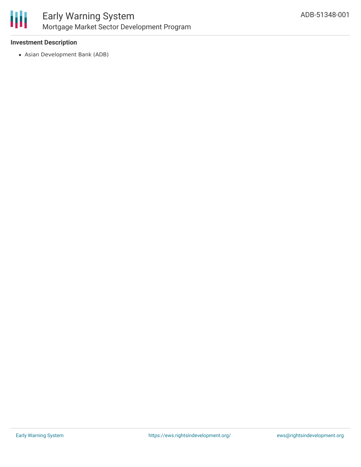

#### **Investment Description**

Asian Development Bank (ADB)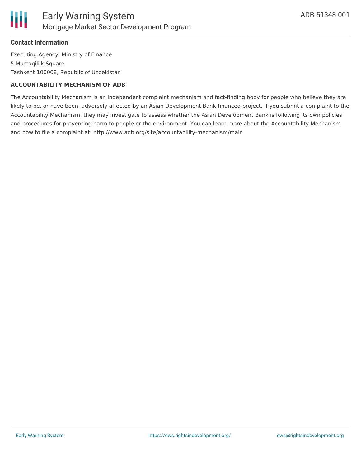

#### **Contact Information**

Executing Agency: Ministry of Finance 5 Mustaqiliik Square Tashkent 100008, Republic of Uzbekistan

#### **ACCOUNTABILITY MECHANISM OF ADB**

The Accountability Mechanism is an independent complaint mechanism and fact-finding body for people who believe they are likely to be, or have been, adversely affected by an Asian Development Bank-financed project. If you submit a complaint to the Accountability Mechanism, they may investigate to assess whether the Asian Development Bank is following its own policies and procedures for preventing harm to people or the environment. You can learn more about the Accountability Mechanism and how to file a complaint at: http://www.adb.org/site/accountability-mechanism/main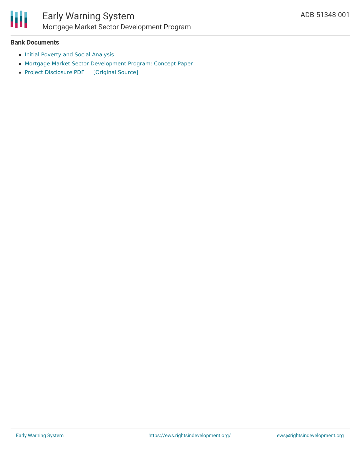

### Early Warning System Mortgage Market Sector Development Program

#### **Bank Documents**

- Initial Poverty and Social [Analysis](https://www.adb.org/sites/default/files/project-documents/51348/51348-001-ipsa-en.pdf)
- Mortgage Market Sector [Development](https://www.adb.org/sites/default/files/project-documents/51348/51348-001-cp-en.pdf) Program: Concept Paper
- Project [Disclosure](https://ewsdata.rightsindevelopment.org/files/documents/01/ADB-51348-001.pdf) PDF [\[Original](https://www.adb.org/printpdf/projects/51348-001/main) Source]